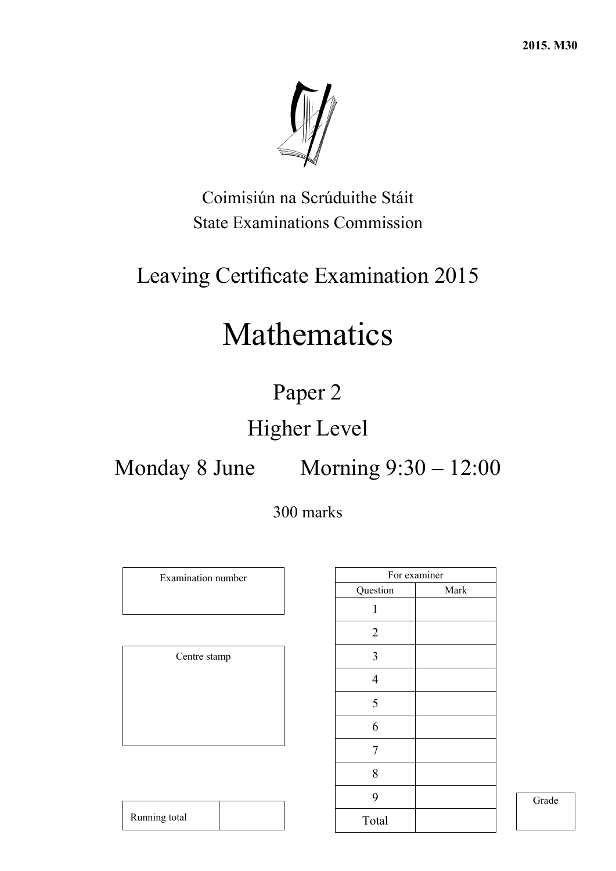

Coimisiún na Scrúduithe Stáit State Examinations Commission

## Leaving Certificate Examination 2015

# Mathematics

## Paper 2

## Higher Level

## Monday 8 June Morning  $9:30 - 12:00$

## 300 marks

Examination number

Centre stamp

|                | For examiner |
|----------------|--------------|
| Question       | Mark         |
| 1              |              |
| $\overline{2}$ |              |
| 3              |              |
| $\overline{4}$ |              |
| 5              |              |
| 6              |              |
| 7              |              |
| 8              |              |
| 9              |              |
| Total          |              |

Grade

| Running total |  |
|---------------|--|
|               |  |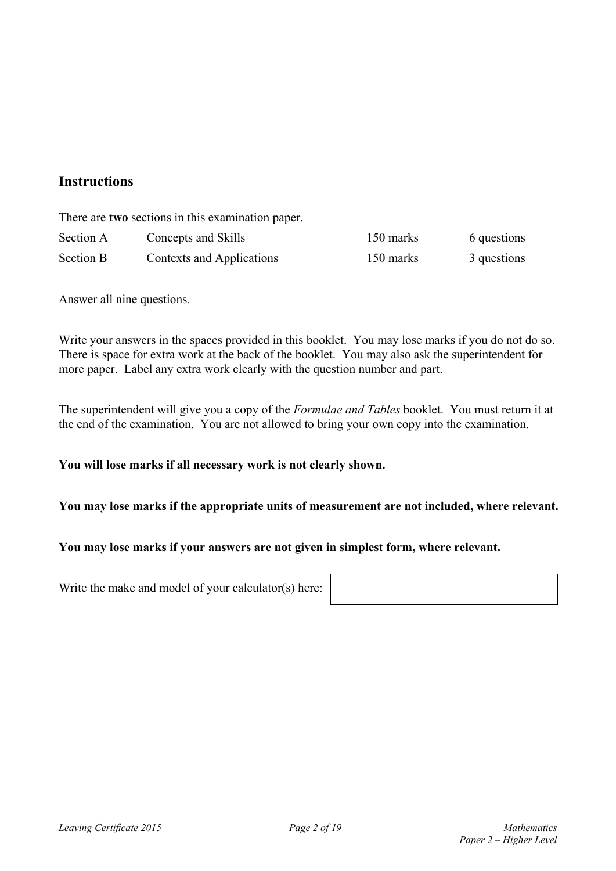### **Instructions**

There are **two** sections in this examination paper.

| Section A        | Concepts and Skills       | 150 marks | 6 questions |
|------------------|---------------------------|-----------|-------------|
| <b>Section B</b> | Contexts and Applications | 150 marks | 3 questions |

Answer all nine questions.

Write your answers in the spaces provided in this booklet. You may lose marks if you do not do so. There is space for extra work at the back of the booklet. You may also ask the superintendent for more paper. Label any extra work clearly with the question number and part.

The superintendent will give you a copy of the *Formulae and Tables* booklet. You must return it at the end of the examination. You are not allowed to bring your own copy into the examination.

#### **You will lose marks if all necessary work is not clearly shown.**

**You may lose marks if the appropriate units of measurement are not included, where relevant.** 

#### **You may lose marks if your answers are not given in simplest form, where relevant.**

Write the make and model of your calculator(s) here: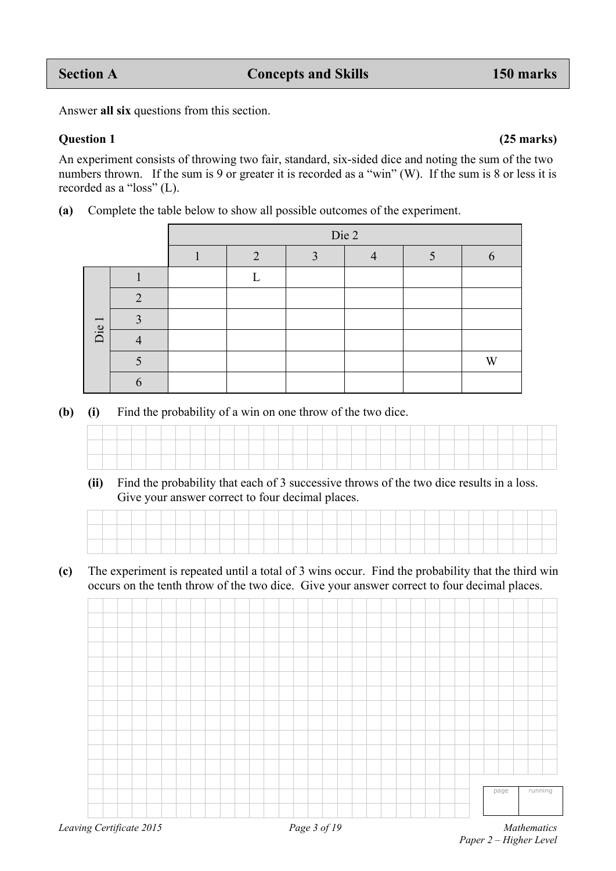Answer **all six** questions from this section.

An experiment consists of throwing two fair, standard, six-sided dice and noting the sum of the two numbers thrown. If the sum is 9 or greater it is recorded as a "win" (W). If the sum is 8 or less it is recorded as a "loss" (L).

**(a)** Complete the table below to show all possible outcomes of the experiment.

|       |             |   | Die 2 |  |   |
|-------|-------------|---|-------|--|---|
|       |             | ⌒ | ◠     |  |   |
|       |             |   |       |  |   |
|       | ◠           |   |       |  |   |
|       | ◠           |   |       |  |   |
| Die 1 |             |   |       |  |   |
|       |             |   |       |  | W |
|       | $\mathbf b$ |   |       |  |   |

**(b) (i)** Find the probability of a win on one throw of the two dice.

|  |  |  | the contract of the contract of the contract of |  |  |                                     | the contract of the contract of the contract of |  |                                                                                 |                                                 |  |  |  |  |  |  |  |
|--|--|--|-------------------------------------------------|--|--|-------------------------------------|-------------------------------------------------|--|---------------------------------------------------------------------------------|-------------------------------------------------|--|--|--|--|--|--|--|
|  |  |  |                                                 |  |  | the contract of the contract of the |                                                 |  | the contract of the contract of the contract of the contract of the contract of | the contract of the contract of the contract of |  |  |  |  |  |  |  |

 **(ii)** Find the probability that each of 3 successive throws of the two dice results in a loss. Give your answer correct to four decimal places.

| the contract of the con- | The Contract of the |  |  |  | the contract of the con- |  |  | and the company of the company |  |  | the contract of the contract of |  |  |  | the contract of the contract of |  | the control of the control of |
|--------------------------|---------------------|--|--|--|--------------------------|--|--|--------------------------------|--|--|---------------------------------|--|--|--|---------------------------------|--|-------------------------------|

**(c)** The experiment is repeated until a total of 3 wins occur. Find the probability that the third win occurs on the tenth throw of the two dice. Give your answer correct to four decimal places.

page running

#### **Question 1 (25 marks)**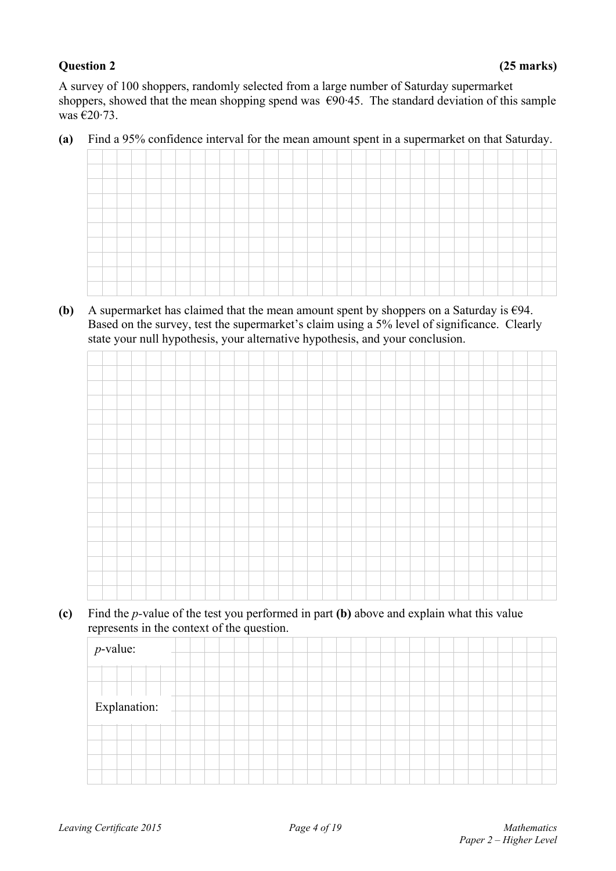#### **Question 2 (25 marks)**

A survey of 100 shoppers, randomly selected from a large number of Saturday supermarket shoppers, showed that the mean shopping spend was  $\epsilon$ 90.45. The standard deviation of this sample was  $\epsilon$ 20.73.

**(a)** Find a 95% confidence interval for the mean amount spent in a supermarket on that Saturday.

**(b)** A supermarket has claimed that the mean amount spent by shoppers on a Saturday is  $\epsilon$ 94. Based on the survey, test the supermarket's claim using a 5% level of significance. Clearly state your null hypothesis, your alternative hypothesis, and your conclusion.



**(c)** Find the *p-*value of the test you performed in part **(b)** above and explain what this value represents in the context of the question.

| $p$ -value:  |  |  |
|--------------|--|--|
|              |  |  |
|              |  |  |
|              |  |  |
| Explanation: |  |  |
|              |  |  |
|              |  |  |
|              |  |  |
|              |  |  |
|              |  |  |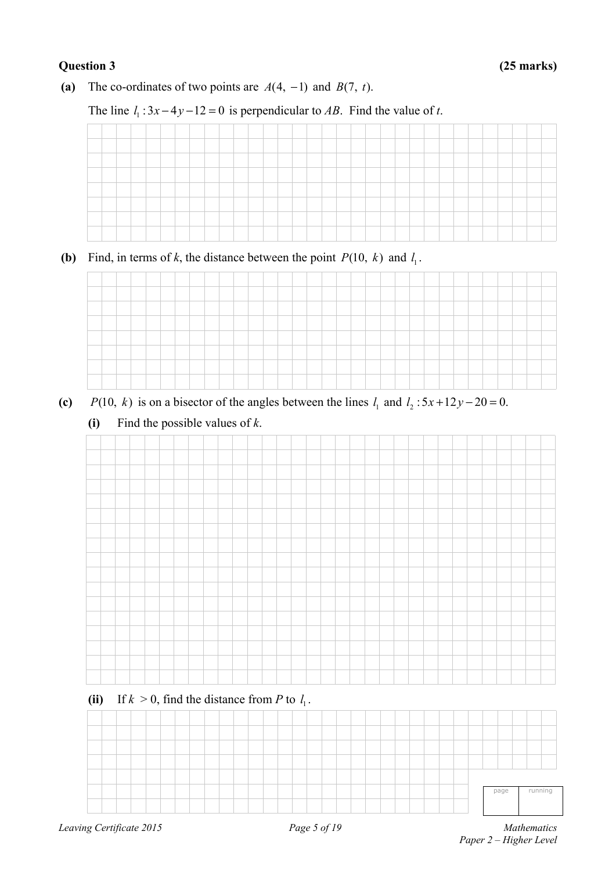#### **Question 3 (25 marks)**

**(a)** The co-ordinates of two points are  $A(4, -1)$  and  $B(7, t)$ .

### The line  $l_1$ :  $3x - 4y - 12 = 0$  is perpendicular to *AB*. Find the value of *t*.

| -                             |  |  |  |  |  |  |  |  |  |  |         |  |  |  |  |  |
|-------------------------------|--|--|--|--|--|--|--|--|--|--|---------|--|--|--|--|--|
| the company of the company of |  |  |  |  |  |  |  |  |  |  | _______ |  |  |  |  |  |
| <b>Services</b>               |  |  |  |  |  |  |  |  |  |  |         |  |  |  |  |  |
|                               |  |  |  |  |  |  |  |  |  |  |         |  |  |  |  |  |
|                               |  |  |  |  |  |  |  |  |  |  |         |  |  |  |  |  |
|                               |  |  |  |  |  |  |  |  |  |  |         |  |  |  |  |  |

**(b)** Find, in terms of *k*, the distance between the point  $P(10, k)$  and  $l_1$ .



- (c) *P*(10, k) is on a bisector of the angles between the lines  $l_1$  and  $l_2$ : 5x + 12y 20 = 0.
	- **(i)** Find the possible values of *k*.

### (ii) If  $k > 0$ , find the distance from *P* to  $l_1$ .

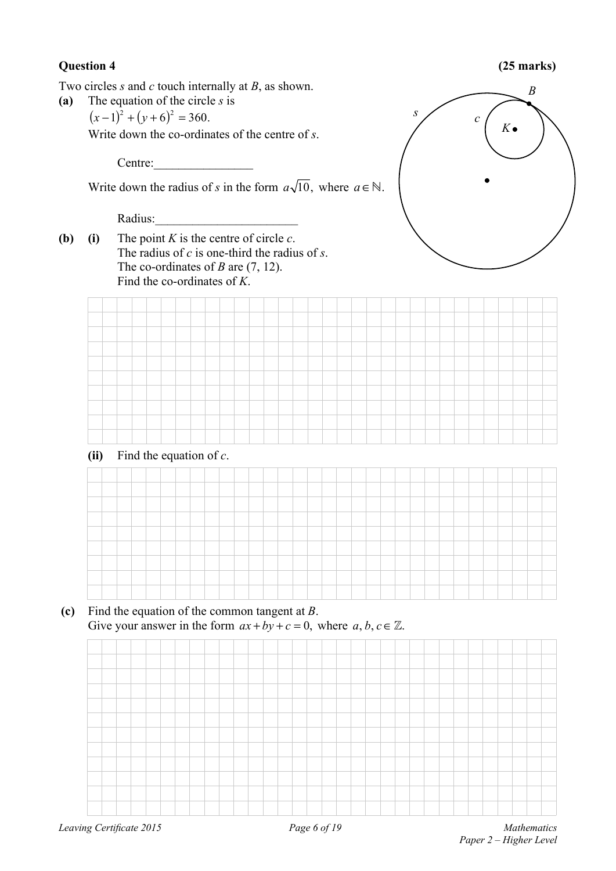#### **Question 4 (25 marks)**

Two circles *s* and *c* touch internally at *B*, as shown.

- **(a)** The equation of the circle *s* is
	- $(x-1)^2 + (y+6)^2 = 360.$

Write down the co-ordinates of the centre of *s*.

Centre:

Write down the radius of *s* in the form  $a\sqrt{10}$ , where  $a \in \mathbb{N}$ .

Radius:

**(b) (i)** The point *K* is the centre of circle *c*. The radius of *c* is one-third the radius of *s*. The co-ordinates of *B* are (7, 12). Find the co-ordinates of *K*.



**(ii)** Find the equation of *c*.

|  |  | ______ |  |  |                                                                                                                 |  |  |  |  |  |  | ___ |  |  |  |  |  |
|--|--|--------|--|--|-----------------------------------------------------------------------------------------------------------------|--|--|--|--|--|--|-----|--|--|--|--|--|
|  |  |        |  |  | the contract of the contract of the contract of the contract of the contract of the contract of the contract of |  |  |  |  |  |  |     |  |  |  |  |  |
|  |  |        |  |  |                                                                                                                 |  |  |  |  |  |  |     |  |  |  |  |  |
|  |  |        |  |  |                                                                                                                 |  |  |  |  |  |  |     |  |  |  |  |  |
|  |  |        |  |  |                                                                                                                 |  |  |  |  |  |  |     |  |  |  |  |  |
|  |  |        |  |  |                                                                                                                 |  |  |  |  |  |  |     |  |  |  |  |  |
|  |  |        |  |  |                                                                                                                 |  |  |  |  |  |  |     |  |  |  |  |  |
|  |  |        |  |  |                                                                                                                 |  |  |  |  |  |  |     |  |  |  |  |  |

#### **(c)** Find the equation of the common tangent at *B*. Give your answer in the form  $ax + by + c = 0$ , where  $a, b, c \in \mathbb{Z}$ .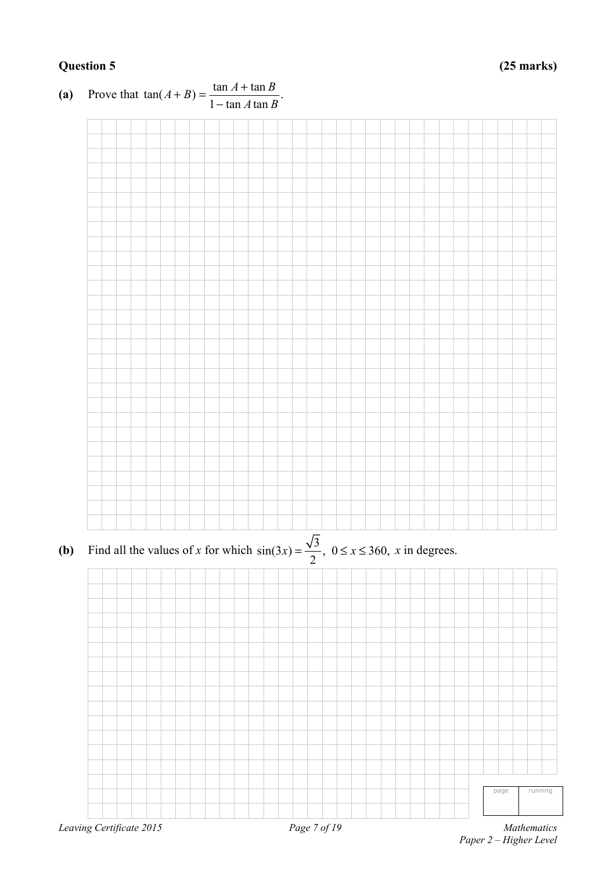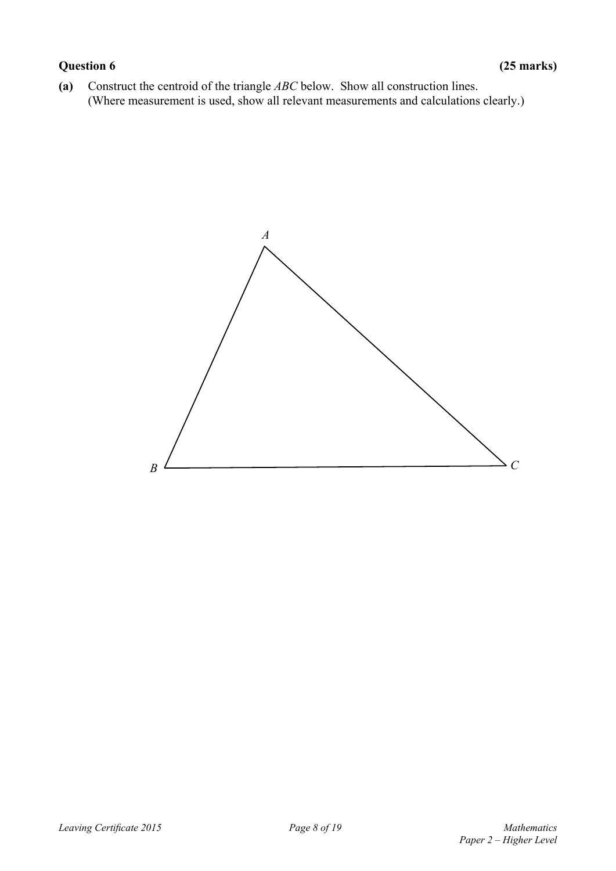### **Question 6 (25 marks)**

**(a)** Construct the centroid of the triangle *ABC* below. Show all construction lines. (Where measurement is used, show all relevant measurements and calculations clearly.)

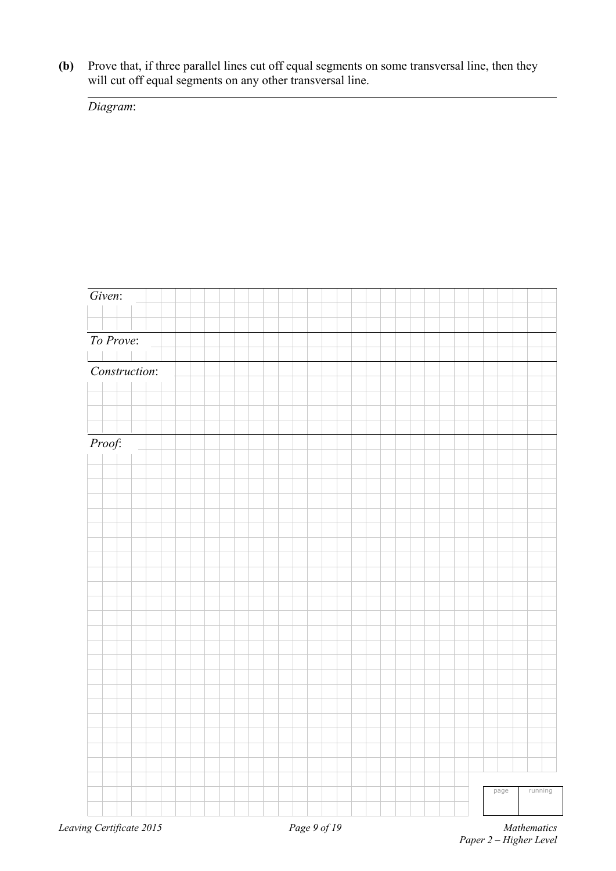**(b)** Prove that, if three parallel lines cut off equal segments on some transversal line, then they will cut off equal segments on any other transversal line.

*Diagram*:

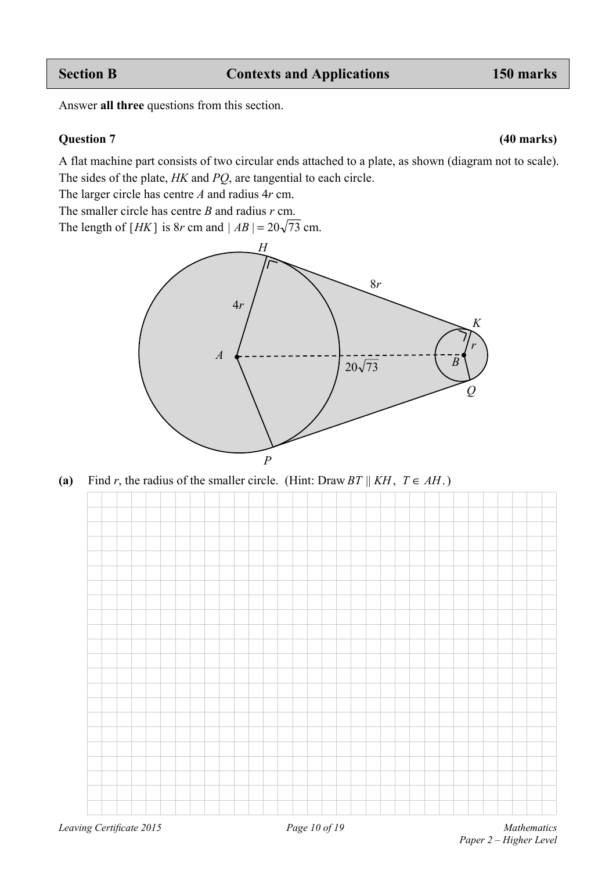Answer **all three** questions from this section.

#### **Question 7 (40 marks)**

A flat machine part consists of two circular ends attached to a plate, as shown (diagram not to scale). The sides of the plate, *HK* and *PQ*, are tangential to each circle.

The larger circle has centre *A* and radius 4*r* cm.

The smaller circle has centre *B* and radius *r* cm.

The length of  $[HK]$  is 8*r* cm and  $|AB| = 20\sqrt{73}$  cm.



**(a)** Find *r*, the radius of the smaller circle. (Hint: Draw *BT*  $||KH$ ,  $T \in AH$ .)

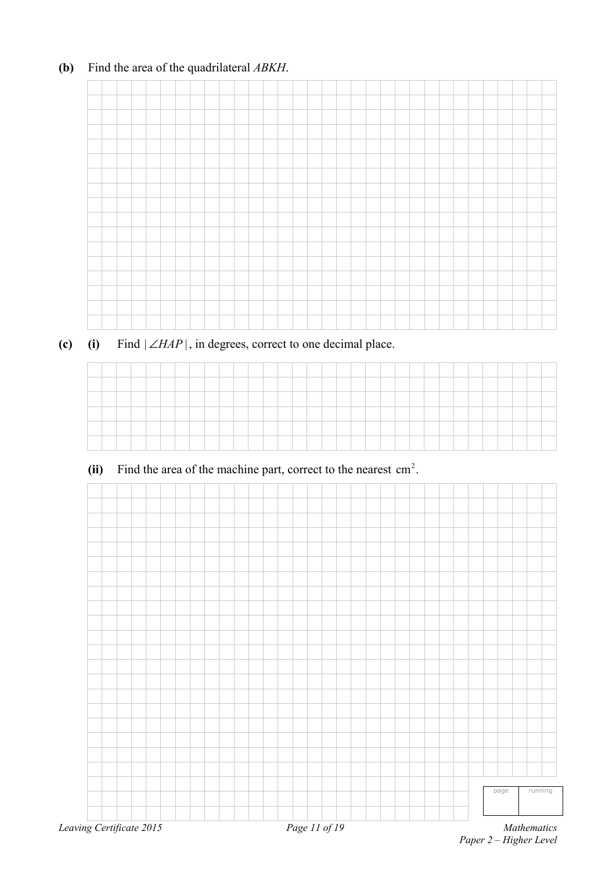### **(b)** Find the area of the quadrilateral *ABKH*.

### **(c) (i)** Find  $|\angle HAP|$ , in degrees, correct to one decimal place.

| __ |  |  |  |  |  |  |  |  |  |  |  |  |  |  |  |  |
|----|--|--|--|--|--|--|--|--|--|--|--|--|--|--|--|--|
|    |  |  |  |  |  |  |  |  |  |  |  |  |  |  |  |  |
| -- |  |  |  |  |  |  |  |  |  |  |  |  |  |  |  |  |
|    |  |  |  |  |  |  |  |  |  |  |  |  |  |  |  |  |
|    |  |  |  |  |  |  |  |  |  |  |  |  |  |  |  |  |

#### (ii) Find the area of the machine part, correct to the nearest  $\text{cm}^2$ .



*Paper 2 – Higher Level*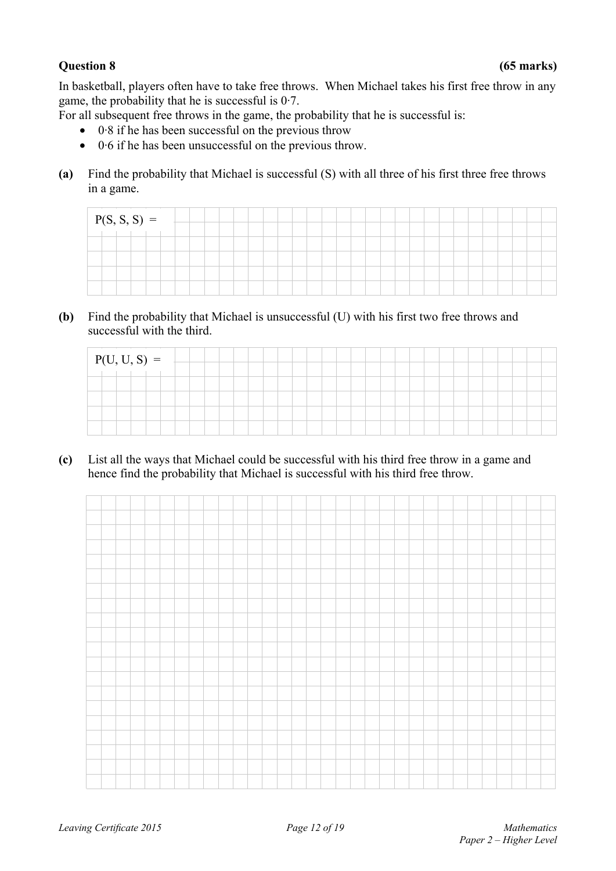#### **Question 8 (65 marks)**

In basketball, players often have to take free throws. When Michael takes his first free throw in any game, the probability that he is successful is  $0.7$ .

For all subsequent free throws in the game, the probability that he is successful is:

- 0·8 if he has been successful on the previous throw
- 0·6 if he has been unsuccessful on the previous throw.
- **(a)** Find the probability that Michael is successful (S) with all three of his first three free throws in a game.

| $P(S, S, S) =$ |  |  |  |  |  |  |  |  |  |  |  |  |  |  |  |
|----------------|--|--|--|--|--|--|--|--|--|--|--|--|--|--|--|
|                |  |  |  |  |  |  |  |  |  |  |  |  |  |  |  |
|                |  |  |  |  |  |  |  |  |  |  |  |  |  |  |  |
|                |  |  |  |  |  |  |  |  |  |  |  |  |  |  |  |
|                |  |  |  |  |  |  |  |  |  |  |  |  |  |  |  |
|                |  |  |  |  |  |  |  |  |  |  |  |  |  |  |  |

**(b)** Find the probability that Michael is unsuccessful (U) with his first two free throws and successful with the third.

| $P(U, U, S) =$ |  |  |  |  |  |  |  |  |  |  |  |  |  |  |  |
|----------------|--|--|--|--|--|--|--|--|--|--|--|--|--|--|--|
|                |  |  |  |  |  |  |  |  |  |  |  |  |  |  |  |
|                |  |  |  |  |  |  |  |  |  |  |  |  |  |  |  |
|                |  |  |  |  |  |  |  |  |  |  |  |  |  |  |  |
|                |  |  |  |  |  |  |  |  |  |  |  |  |  |  |  |
|                |  |  |  |  |  |  |  |  |  |  |  |  |  |  |  |

**(c)** List all the ways that Michael could be successful with his third free throw in a game and hence find the probability that Michael is successful with his third free throw.

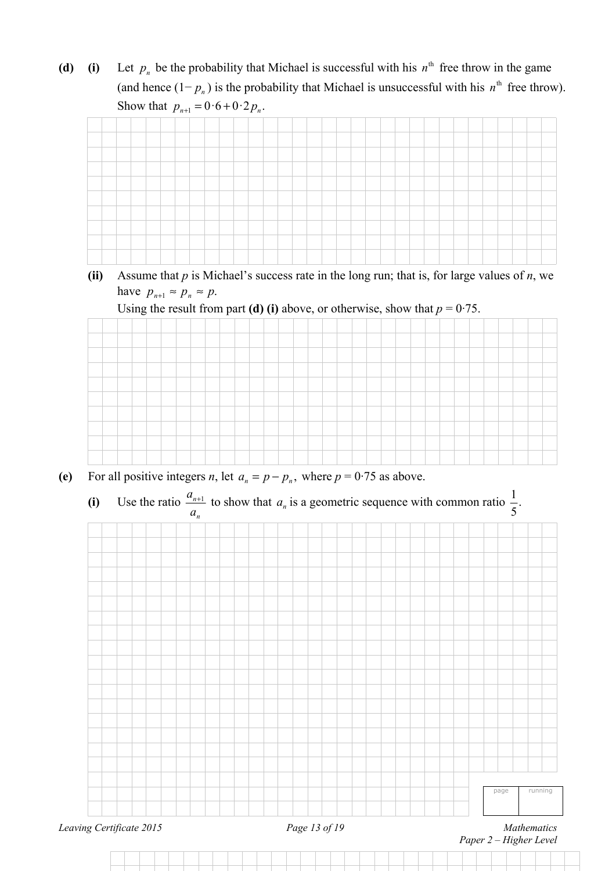(d) (i) Let  $p_n$  be the probability that Michael is successful with his  $n^{\text{th}}$  free throw in the game (and hence  $(1-p_n)$  is the probability that Michael is unsuccessful with his  $n^{\text{th}}$  free throw). Show that  $p_{n+1} = 0.6 + 0.2 p_n$ .



**(ii)** Assume that *p* is Michael's success rate in the long run; that is, for large values of *n*, we have  $p_{n+1} \approx p_n \approx p$ .





- **(e)** For all positive integers *n*, let  $a_n = p p_n$ , where  $p = 0.75$  as above.
- (i) Use the ratio  $\frac{a_{n+1}}{a_n}$  to show that  $a_n$  is a geometric sequence with common ratio  $\frac{1}{5}$ .

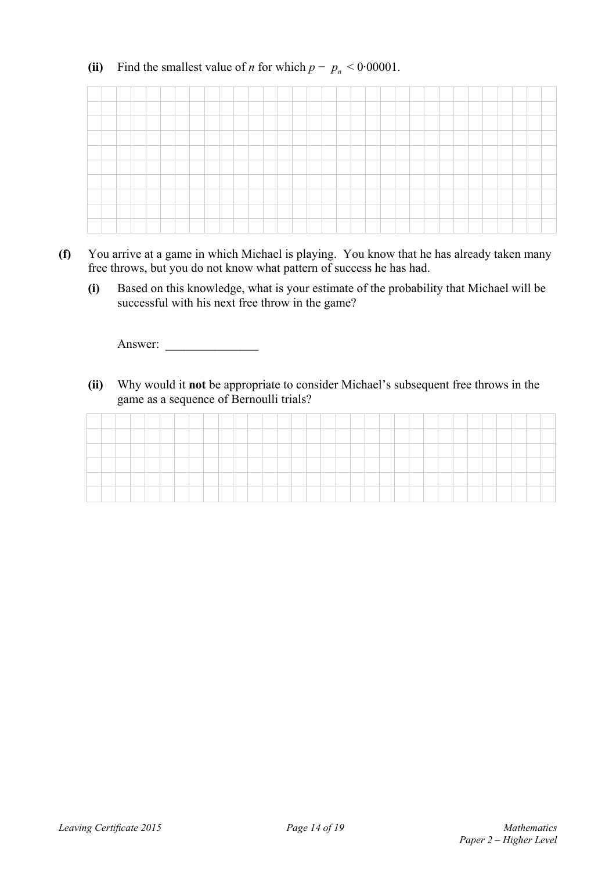### (ii) Find the smallest value of *n* for which  $p - p_n < 0.00001$ .



- **(f)** You arrive at a game in which Michael is playing. You know that he has already taken many free throws, but you do not know what pattern of success he has had.
	- **(i)** Based on this knowledge, what is your estimate of the probability that Michael will be successful with his next free throw in the game?

Answer: \_\_\_\_\_\_\_\_\_\_\_\_\_\_\_

**(ii)** Why would it **not** be appropriate to consider Michael's subsequent free throws in the game as a sequence of Bernoulli trials?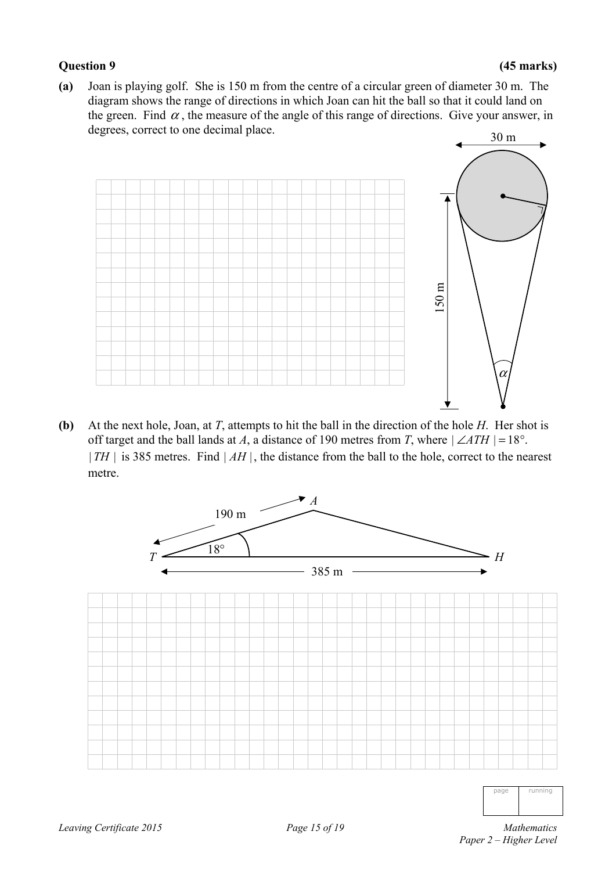#### **Question 9 (45 marks)**

**(a)** Joan is playing golf. She is 150 m from the centre of a circular green of diameter 30 m. The diagram shows the range of directions in which Joan can hit the ball so that it could land on the green. Find  $\alpha$ , the measure of the angle of this range of directions. Give your answer, in degrees, correct to one decimal place.



**(b)** At the next hole, Joan, at *T*, attempts to hit the ball in the direction of the hole *H*. Her shot is off target and the ball lands at *A*, a distance of 190 metres from *T*, where  $|\angle ATH| = 18^\circ$ .  $|TH|$  is 385 metres. Find  $|AH|$ , the distance from the ball to the hole, correct to the nearest metre.



page running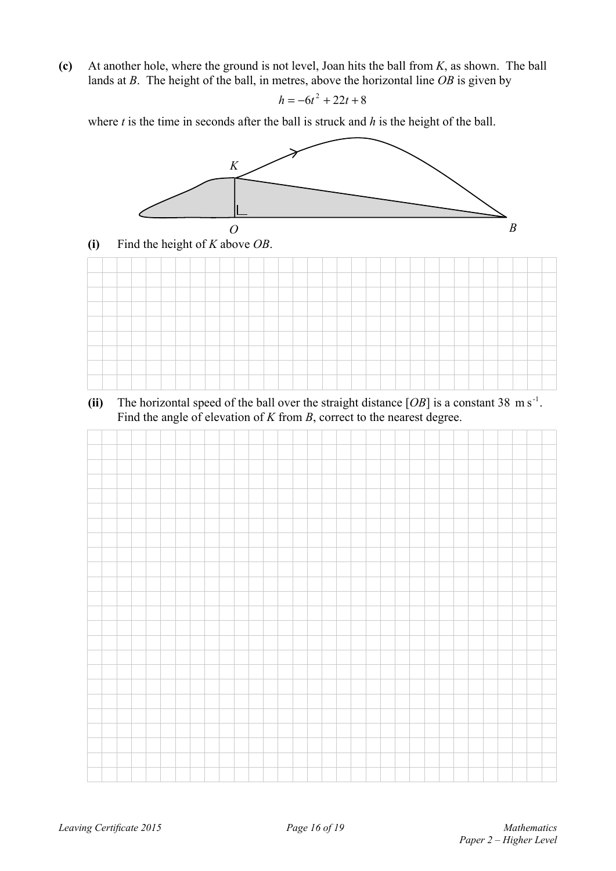**(c)** At another hole, where the ground is not level, Joan hits the ball from *K*, as shown. The ball lands at *B*. The height of the ball, in metres, above the horizontal line *OB* is given by

$$
h = -6t^2 + 22t + 8
$$

where *t* is the time in seconds after the ball is struck and *h* is the height of the ball.







(ii) The horizontal speed of the ball over the straight distance  $[OB]$  is a constant 38 m s<sup>-1</sup>. Find the angle of elevation of *K* from *B*, correct to the nearest degree.

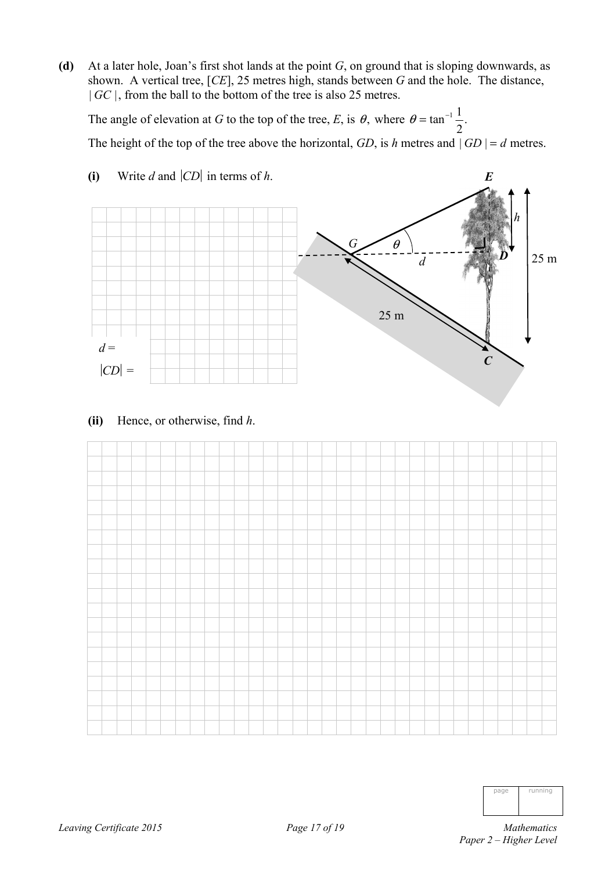**(d)** At a later hole, Joan's first shot lands at the point *G*, on ground that is sloping downwards, as shown. A vertical tree, [*CE*], 25 metres high, stands between *G* and the hole. The distance, | *GC* |, from the ball to the bottom of the tree is also 25 metres.

The angle of elevation at *G* to the top of the tree, *E*, is  $\theta$ , where  $\theta = \tan^{-1} \frac{1}{2}$ . 2  $\theta = \tan^{-1} \frac{1}{2}$ . The height of the top of the tree above the horizontal, *GD*, is *h* metres and  $|GD| = d$  metres.



**(i)** Write *d* and  $|CD|$  in terms of *h*.

**(ii)** Hence, or otherwise, find *h*.



|      | running |
|------|---------|
| nage |         |
|      |         |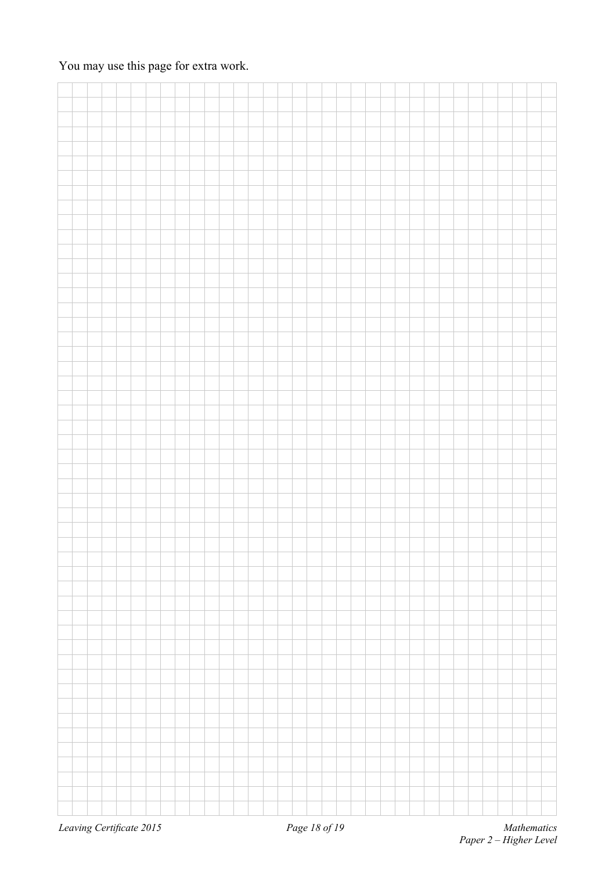### You may use this page for extra work.

| Leaving Certificate 2015 |  |  |  |  |  | Page 18 of 19 |  |  |  |  |  |  |  | Mathematics |
|--------------------------|--|--|--|--|--|---------------|--|--|--|--|--|--|--|-------------|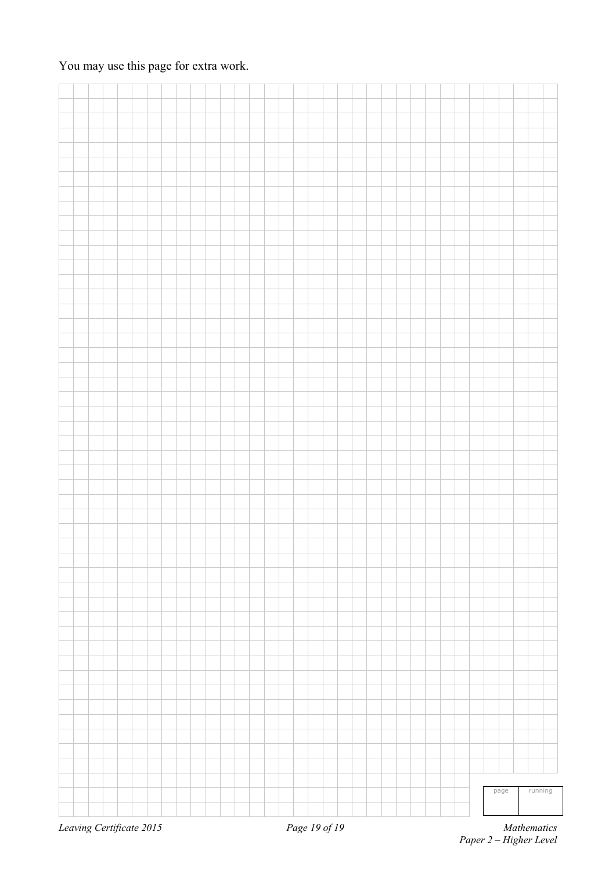### You may use this page for extra work.

| Leaving Certificate 2015 |  |  |  |  |  |  |  | Page 19 of 19 |  |  |  |  |  |      |  | Mathematics |
|--------------------------|--|--|--|--|--|--|--|---------------|--|--|--|--|--|------|--|-------------|
|                          |  |  |  |  |  |  |  |               |  |  |  |  |  | page |  | running     |
|                          |  |  |  |  |  |  |  |               |  |  |  |  |  |      |  |             |
|                          |  |  |  |  |  |  |  |               |  |  |  |  |  |      |  |             |
|                          |  |  |  |  |  |  |  |               |  |  |  |  |  |      |  |             |
|                          |  |  |  |  |  |  |  |               |  |  |  |  |  |      |  |             |
|                          |  |  |  |  |  |  |  |               |  |  |  |  |  |      |  |             |
|                          |  |  |  |  |  |  |  |               |  |  |  |  |  |      |  |             |
|                          |  |  |  |  |  |  |  |               |  |  |  |  |  |      |  |             |
|                          |  |  |  |  |  |  |  |               |  |  |  |  |  |      |  |             |
|                          |  |  |  |  |  |  |  |               |  |  |  |  |  |      |  |             |
|                          |  |  |  |  |  |  |  |               |  |  |  |  |  |      |  |             |
|                          |  |  |  |  |  |  |  |               |  |  |  |  |  |      |  |             |
|                          |  |  |  |  |  |  |  |               |  |  |  |  |  |      |  |             |
|                          |  |  |  |  |  |  |  |               |  |  |  |  |  |      |  |             |
|                          |  |  |  |  |  |  |  |               |  |  |  |  |  |      |  |             |
|                          |  |  |  |  |  |  |  |               |  |  |  |  |  |      |  |             |
|                          |  |  |  |  |  |  |  |               |  |  |  |  |  |      |  |             |
|                          |  |  |  |  |  |  |  |               |  |  |  |  |  |      |  |             |
|                          |  |  |  |  |  |  |  |               |  |  |  |  |  |      |  |             |
|                          |  |  |  |  |  |  |  |               |  |  |  |  |  |      |  |             |
|                          |  |  |  |  |  |  |  |               |  |  |  |  |  |      |  |             |
|                          |  |  |  |  |  |  |  |               |  |  |  |  |  |      |  |             |
|                          |  |  |  |  |  |  |  |               |  |  |  |  |  |      |  |             |
|                          |  |  |  |  |  |  |  |               |  |  |  |  |  |      |  |             |
|                          |  |  |  |  |  |  |  |               |  |  |  |  |  |      |  |             |
|                          |  |  |  |  |  |  |  |               |  |  |  |  |  |      |  |             |
|                          |  |  |  |  |  |  |  |               |  |  |  |  |  |      |  |             |
|                          |  |  |  |  |  |  |  |               |  |  |  |  |  |      |  |             |
|                          |  |  |  |  |  |  |  |               |  |  |  |  |  |      |  |             |
|                          |  |  |  |  |  |  |  |               |  |  |  |  |  |      |  |             |
|                          |  |  |  |  |  |  |  |               |  |  |  |  |  |      |  |             |
|                          |  |  |  |  |  |  |  |               |  |  |  |  |  |      |  |             |
|                          |  |  |  |  |  |  |  |               |  |  |  |  |  |      |  |             |
|                          |  |  |  |  |  |  |  |               |  |  |  |  |  |      |  |             |
|                          |  |  |  |  |  |  |  |               |  |  |  |  |  |      |  |             |
|                          |  |  |  |  |  |  |  |               |  |  |  |  |  |      |  |             |
|                          |  |  |  |  |  |  |  |               |  |  |  |  |  |      |  |             |
|                          |  |  |  |  |  |  |  |               |  |  |  |  |  |      |  |             |
|                          |  |  |  |  |  |  |  |               |  |  |  |  |  |      |  |             |
|                          |  |  |  |  |  |  |  |               |  |  |  |  |  |      |  |             |
|                          |  |  |  |  |  |  |  |               |  |  |  |  |  |      |  |             |
|                          |  |  |  |  |  |  |  |               |  |  |  |  |  |      |  |             |